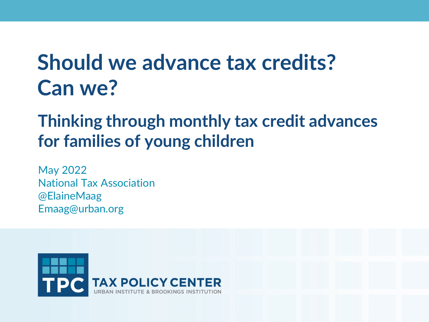# **Should we advance tax credits? Can we?**

## **Thinking through monthly tax credit advances for families of young children**

May 2022 National Tax Association @ElaineMaag Emaag@urban.org

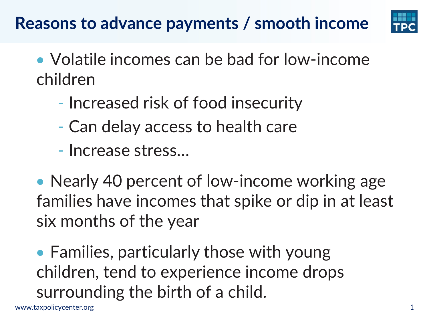# **Reasons to advance payments / smooth income**



- Volatile incomes can be bad for low-income children
	- Increased risk of food insecurity
	- Can delay access to health care
	- Increase stress…

• Nearly 40 percent of low-income working age families have incomes that spike or dip in at least six months of the year

• Families, particularly those with young children, tend to experience income drops surrounding the birth of a child.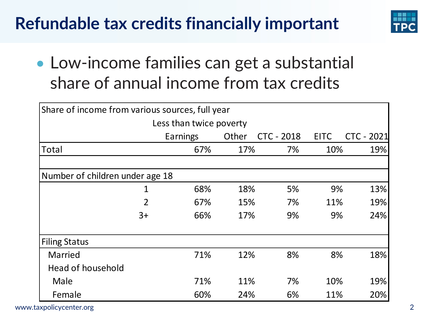# **Refundable tax credits financially important**



• Low-income families can get a substantial share of annual income from tax credits

| Share of income from various sources, full year |                |            |                   |             |            |  |  |
|-------------------------------------------------|----------------|------------|-------------------|-------------|------------|--|--|
| Less than twice poverty                         |                |            |                   |             |            |  |  |
|                                                 | Earnings       | Other      | <b>CTC - 2018</b> | <b>EITC</b> | CTC - 2021 |  |  |
| Total                                           |                | 67%<br>17% | 7%                | 10%         | 19%        |  |  |
|                                                 |                |            |                   |             |            |  |  |
| Number of children under age 18                 |                |            |                   |             |            |  |  |
|                                                 | 1              | 68%<br>18% | 5%                | 9%          | 13%        |  |  |
|                                                 | $\overline{2}$ | 15%<br>67% | 7%                | 11%         | 19%        |  |  |
|                                                 | $3+$           | 66%<br>17% | 9%                | 9%          | 24%        |  |  |
| <b>Filing Status</b>                            |                |            |                   |             |            |  |  |
| Married                                         |                | 71%<br>12% | 8%                | 8%          | 18%        |  |  |
| <b>Head of household</b>                        |                |            |                   |             |            |  |  |
| Male                                            |                | 71%<br>11% | 7%                | 10%         | 19%        |  |  |
| Female                                          |                | 60%<br>24% | 6%                | 11%         | 20%        |  |  |

www.taxpolicycenter.org 2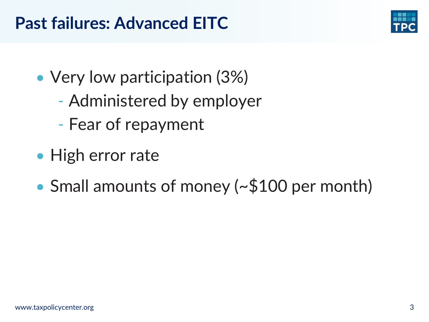#### **Past failures: Advanced EITC**



- Very low participation (3%)
	- Administered by employer
	- Fear of repayment
- High error rate
- Small amounts of money (~\$100 per month)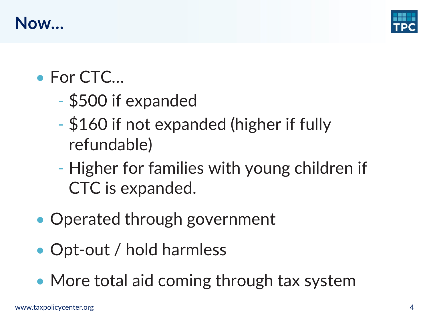



- For CTC...
	- \$500 if expanded
	- \$160 if not expanded (higher if fully refundable)
	- Higher for families with young children if CTC is expanded.
- Operated through government
- Opt-out / hold harmless
- More total aid coming through tax system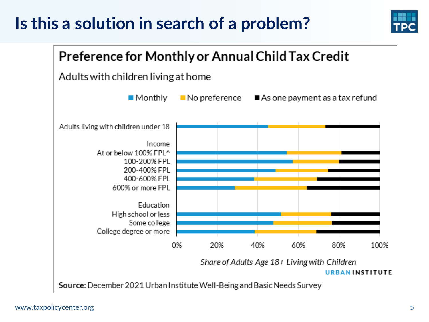## **Is this a solution in search of a problem?**





Source: December 2021 Urban Institute Well-Being and Basic Needs Survey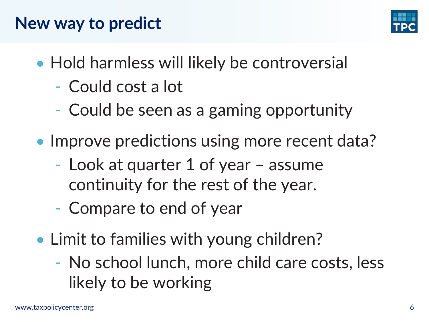### **New way to predict**



- Hold harmless will likely be controversial
	- Could cost a lot
	- Could be seen as a gaming opportunity
- Improve predictions using more recent data?
	- Look at quarter 1 of year assume continuity for the rest of the year.
	- Compare to end of year
- Limit to families with young children?
	- No school lunch, more child care costs, less likely to be working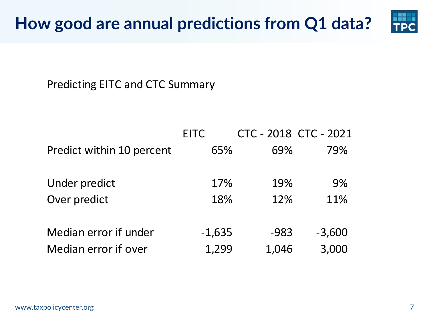

Predicting EITC and CTC Summary

|                           | <b>EITC</b> | CTC - 2018 CTC - 2021 |          |
|---------------------------|-------------|-----------------------|----------|
| Predict within 10 percent | 65%         | 69%                   | 79%      |
|                           |             |                       |          |
| Under predict             | 17%         | 19%                   | 9%       |
| Over predict              | 18%         | 12%                   | 11%      |
|                           |             |                       |          |
| Median error if under     | $-1,635$    | $-983$                | $-3,600$ |
| Median error if over      | 1,299       | 1,046                 | 3,000    |